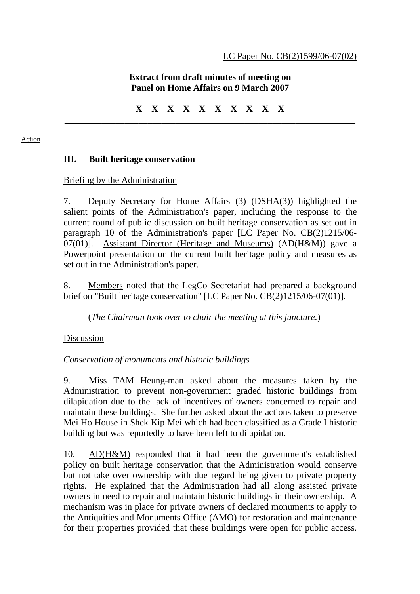# **Extract from draft minutes of meeting on Panel on Home Affairs on 9 March 2007**

**X X X X X X X X X X \_\_\_\_\_\_\_\_\_\_\_\_\_\_\_\_\_\_\_\_\_\_\_\_\_\_\_\_\_\_\_\_\_\_\_\_\_\_\_\_\_\_\_\_\_\_\_\_\_\_\_\_\_\_\_\_\_\_\_\_\_\_\_** 

#### Action

### **III. Built heritage conservation**

#### Briefing by the Administration

7. Deputy Secretary for Home Affairs (3) (DSHA(3)) highlighted the salient points of the Administration's paper, including the response to the current round of public discussion on built heritage conservation as set out in paragraph 10 of the Administration's paper [LC Paper No. CB(2)1215/06- 07(01)]. Assistant Director (Heritage and Museums) (AD(H&M)) gave a Powerpoint presentation on the current built heritage policy and measures as set out in the Administration's paper.

8. Members noted that the LegCo Secretariat had prepared a background brief on "Built heritage conservation" [LC Paper No. CB(2)1215/06-07(01)].

(*The Chairman took over to chair the meeting at this juncture.*)

#### Discussion

## *Conservation of monuments and historic buildings*

9. Miss TAM Heung-man asked about the measures taken by the Administration to prevent non-government graded historic buildings from dilapidation due to the lack of incentives of owners concerned to repair and maintain these buildings. She further asked about the actions taken to preserve Mei Ho House in Shek Kip Mei which had been classified as a Grade I historic building but was reportedly to have been left to dilapidation.

10. AD(H&M) responded that it had been the government's established policy on built heritage conservation that the Administration would conserve but not take over ownership with due regard being given to private property rights. He explained that the Administration had all along assisted private owners in need to repair and maintain historic buildings in their ownership. A mechanism was in place for private owners of declared monuments to apply to the Antiquities and Monuments Office (AMO) for restoration and maintenance for their properties provided that these buildings were open for public access.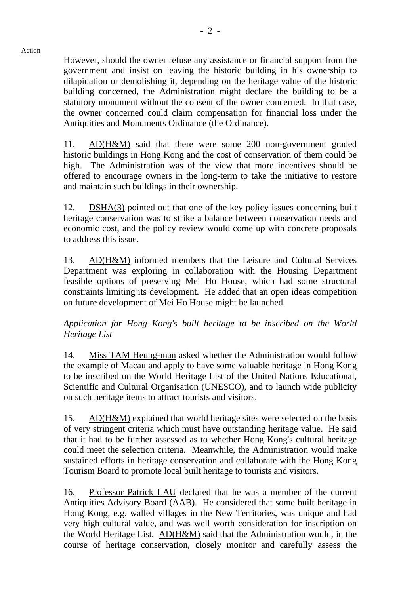However, should the owner refuse any assistance or financial support from the government and insist on leaving the historic building in his ownership to dilapidation or demolishing it, depending on the heritage value of the historic building concerned, the Administration might declare the building to be a statutory monument without the consent of the owner concerned. In that case, the owner concerned could claim compensation for financial loss under the Antiquities and Monuments Ordinance (the Ordinance).

11. AD(H&M) said that there were some 200 non-government graded historic buildings in Hong Kong and the cost of conservation of them could be high. The Administration was of the view that more incentives should be offered to encourage owners in the long-term to take the initiative to restore and maintain such buildings in their ownership.

12. DSHA(3) pointed out that one of the key policy issues concerning built heritage conservation was to strike a balance between conservation needs and economic cost, and the policy review would come up with concrete proposals to address this issue.

13. AD(H&M) informed members that the Leisure and Cultural Services Department was exploring in collaboration with the Housing Department feasible options of preserving Mei Ho House, which had some structural constraints limiting its development. He added that an open ideas competition on future development of Mei Ho House might be launched.

*Application for Hong Kong's built heritage to be inscribed on the World Heritage List* 

14. Miss TAM Heung-man asked whether the Administration would follow the example of Macau and apply to have some valuable heritage in Hong Kong to be inscribed on the World Heritage List of the United Nations Educational, Scientific and Cultural Organisation (UNESCO), and to launch wide publicity on such heritage items to attract tourists and visitors.

15. AD(H&M) explained that world heritage sites were selected on the basis of very stringent criteria which must have outstanding heritage value. He said that it had to be further assessed as to whether Hong Kong's cultural heritage could meet the selection criteria. Meanwhile, the Administration would make sustained efforts in heritage conservation and collaborate with the Hong Kong Tourism Board to promote local built heritage to tourists and visitors.

16. Professor Patrick LAU declared that he was a member of the current Antiquities Advisory Board (AAB). He considered that some built heritage in Hong Kong, e.g. walled villages in the New Territories, was unique and had very high cultural value, and was well worth consideration for inscription on the World Heritage List. AD(H&M) said that the Administration would, in the course of heritage conservation, closely monitor and carefully assess the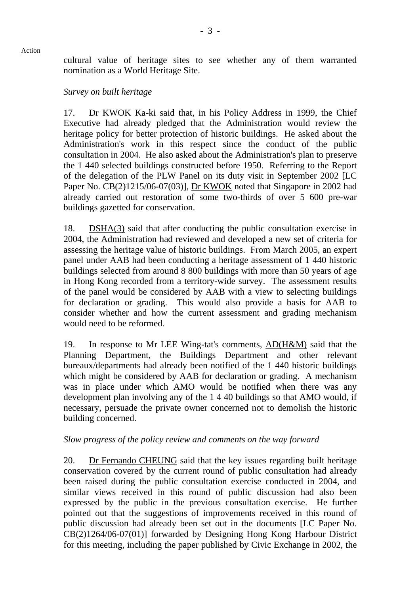cultural value of heritage sites to see whether any of them warranted nomination as a World Heritage Site.

## *Survey on built heritage*

17. Dr KWOK Ka-ki said that, in his Policy Address in 1999, the Chief Executive had already pledged that the Administration would review the heritage policy for better protection of historic buildings. He asked about the Administration's work in this respect since the conduct of the public consultation in 2004. He also asked about the Administration's plan to preserve the 1 440 selected buildings constructed before 1950. Referring to the Report of the delegation of the PLW Panel on its duty visit in September 2002 [LC Paper No. CB(2)1215/06-07(03)], Dr KWOK noted that Singapore in 2002 had already carried out restoration of some two-thirds of over 5 600 pre-war buildings gazetted for conservation.

18. DSHA(3) said that after conducting the public consultation exercise in 2004, the Administration had reviewed and developed a new set of criteria for assessing the heritage value of historic buildings. From March 2005, an expert panel under AAB had been conducting a heritage assessment of 1 440 historic buildings selected from around 8 800 buildings with more than 50 years of age in Hong Kong recorded from a territory-wide survey. The assessment results of the panel would be considered by AAB with a view to selecting buildings for declaration or grading. This would also provide a basis for AAB to consider whether and how the current assessment and grading mechanism would need to be reformed.

19. In response to Mr LEE Wing-tat's comments, AD(H&M) said that the Planning Department, the Buildings Department and other relevant bureaux/departments had already been notified of the 1 440 historic buildings which might be considered by AAB for declaration or grading. A mechanism was in place under which AMO would be notified when there was any development plan involving any of the 1 4 40 buildings so that AMO would, if necessary, persuade the private owner concerned not to demolish the historic building concerned.

# *Slow progress of the policy review and comments on the way forward*

20. Dr Fernando CHEUNG said that the key issues regarding built heritage conservation covered by the current round of public consultation had already been raised during the public consultation exercise conducted in 2004, and similar views received in this round of public discussion had also been expressed by the public in the previous consultation exercise. He further pointed out that the suggestions of improvements received in this round of public discussion had already been set out in the documents [LC Paper No. CB(2)1264/06-07(01)] forwarded by Designing Hong Kong Harbour District for this meeting, including the paper published by Civic Exchange in 2002, the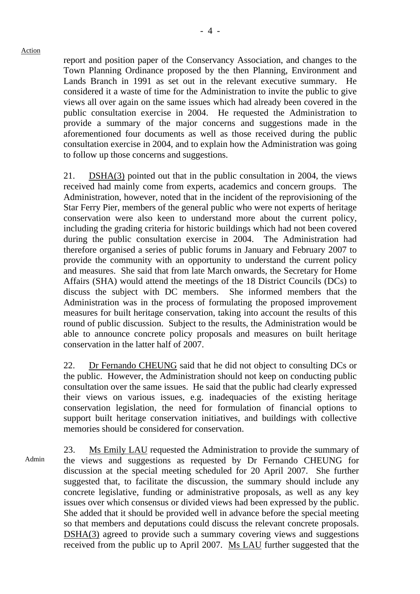- 4 -

report and position paper of the Conservancy Association, and changes to the Town Planning Ordinance proposed by the then Planning, Environment and Lands Branch in 1991 as set out in the relevant executive summary. He considered it a waste of time for the Administration to invite the public to give views all over again on the same issues which had already been covered in the public consultation exercise in 2004. He requested the Administration to provide a summary of the major concerns and suggestions made in the aforementioned four documents as well as those received during the public consultation exercise in 2004, and to explain how the Administration was going to follow up those concerns and suggestions.

21. DSHA(3) pointed out that in the public consultation in 2004, the views received had mainly come from experts, academics and concern groups. The Administration, however, noted that in the incident of the reprovisioning of the Star Ferry Pier, members of the general public who were not experts of heritage conservation were also keen to understand more about the current policy, including the grading criteria for historic buildings which had not been covered during the public consultation exercise in 2004. The Administration had therefore organised a series of public forums in January and February 2007 to provide the community with an opportunity to understand the current policy and measures. She said that from late March onwards, the Secretary for Home Affairs (SHA) would attend the meetings of the 18 District Councils (DCs) to discuss the subject with DC members. She informed members that the Administration was in the process of formulating the proposed improvement measures for built heritage conservation, taking into account the results of this round of public discussion. Subject to the results, the Administration would be able to announce concrete policy proposals and measures on built heritage conservation in the latter half of 2007.

22. Dr Fernando CHEUNG said that he did not object to consulting DCs or the public. However, the Administration should not keep on conducting public consultation over the same issues. He said that the public had clearly expressed their views on various issues, e.g. inadequacies of the existing heritage conservation legislation, the need for formulation of financial options to support built heritage conservation initiatives, and buildings with collective memories should be considered for conservation.

Admin

23. Ms Emily LAU requested the Administration to provide the summary of the views and suggestions as requested by Dr Fernando CHEUNG for discussion at the special meeting scheduled for 20 April 2007. She further suggested that, to facilitate the discussion, the summary should include any concrete legislative, funding or administrative proposals, as well as any key issues over which consensus or divided views had been expressed by the public. She added that it should be provided well in advance before the special meeting so that members and deputations could discuss the relevant concrete proposals. DSHA(3) agreed to provide such a summary covering views and suggestions received from the public up to April 2007. Ms LAU further suggested that the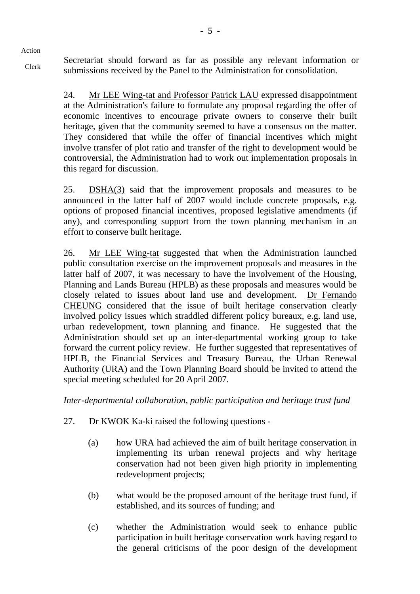Clerk

Secretariat should forward as far as possible any relevant information or submissions received by the Panel to the Administration for consolidation.

24. Mr LEE Wing-tat and Professor Patrick LAU expressed disappointment at the Administration's failure to formulate any proposal regarding the offer of economic incentives to encourage private owners to conserve their built heritage, given that the community seemed to have a consensus on the matter. They considered that while the offer of financial incentives which might involve transfer of plot ratio and transfer of the right to development would be controversial, the Administration had to work out implementation proposals in this regard for discussion.

25. DSHA(3) said that the improvement proposals and measures to be announced in the latter half of 2007 would include concrete proposals, e.g. options of proposed financial incentives, proposed legislative amendments (if any), and corresponding support from the town planning mechanism in an effort to conserve built heritage.

26. Mr LEE Wing-tat suggested that when the Administration launched public consultation exercise on the improvement proposals and measures in the latter half of 2007, it was necessary to have the involvement of the Housing, Planning and Lands Bureau (HPLB) as these proposals and measures would be closely related to issues about land use and development. Dr Fernando CHEUNG considered that the issue of built heritage conservation clearly involved policy issues which straddled different policy bureaux, e.g. land use, urban redevelopment, town planning and finance. He suggested that the Administration should set up an inter-departmental working group to take forward the current policy review. He further suggested that representatives of HPLB, the Financial Services and Treasury Bureau, the Urban Renewal Authority (URA) and the Town Planning Board should be invited to attend the special meeting scheduled for 20 April 2007.

*Inter-departmental collaboration, public participation and heritage trust fund* 

- 27. Dr KWOK Ka-ki raised the following questions
	- (a) how URA had achieved the aim of built heritage conservation in implementing its urban renewal projects and why heritage conservation had not been given high priority in implementing redevelopment projects;
	- (b) what would be the proposed amount of the heritage trust fund, if established, and its sources of funding; and
	- (c) whether the Administration would seek to enhance public participation in built heritage conservation work having regard to the general criticisms of the poor design of the development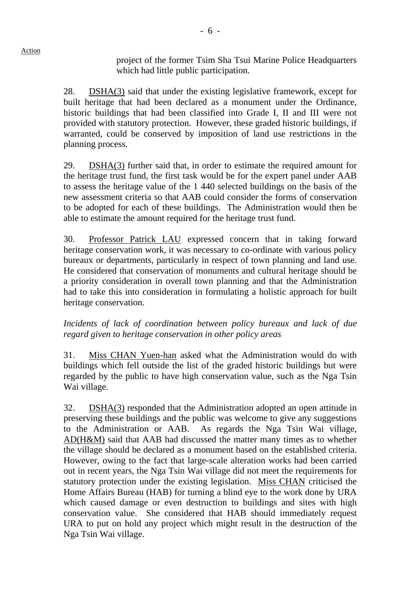project of the former Tsim Sha Tsui Marine Police Headquarters which had little public participation.

28. DSHA(3) said that under the existing legislative framework, except for built heritage that had been declared as a monument under the Ordinance, historic buildings that had been classified into Grade I, II and III were not provided with statutory protection. However, these graded historic buildings, if warranted, could be conserved by imposition of land use restrictions in the planning process.

29. DSHA(3) further said that, in order to estimate the required amount for the heritage trust fund, the first task would be for the expert panel under AAB to assess the heritage value of the 1 440 selected buildings on the basis of the new assessment criteria so that AAB could consider the forms of conservation to be adopted for each of these buildings. The Administration would then be able to estimate the amount required for the heritage trust fund.

30. Professor Patrick LAU expressed concern that in taking forward heritage conservation work, it was necessary to co-ordinate with various policy bureaux or departments, particularly in respect of town planning and land use. He considered that conservation of monuments and cultural heritage should be a priority consideration in overall town planning and that the Administration had to take this into consideration in formulating a holistic approach for built heritage conservation.

*Incidents of lack of coordination between policy bureaux and lack of due regard given to heritage conservation in other policy areas* 

31. Miss CHAN Yuen-han asked what the Administration would do with buildings which fell outside the list of the graded historic buildings but were regarded by the public to have high conservation value, such as the Nga Tsin Wai village.

32. DSHA(3) responded that the Administration adopted an open attitude in preserving these buildings and the public was welcome to give any suggestions to the Administration or AAB. As regards the Nga Tsin Wai village, AD(H&M) said that AAB had discussed the matter many times as to whether the village should be declared as a monument based on the established criteria. However, owing to the fact that large-scale alteration works had been carried out in recent years, the Nga Tsin Wai village did not meet the requirements for statutory protection under the existing legislation. Miss CHAN criticised the Home Affairs Bureau (HAB) for turning a blind eye to the work done by URA which caused damage or even destruction to buildings and sites with high conservation value. She considered that HAB should immediately request URA to put on hold any project which might result in the destruction of the Nga Tsin Wai village.